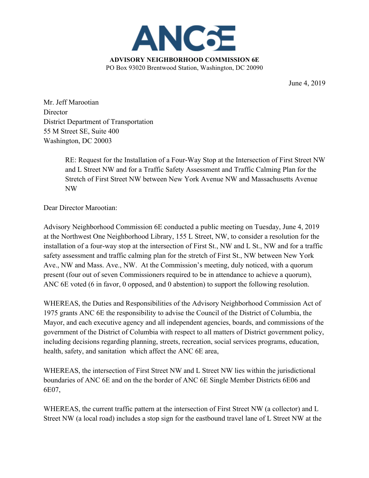

June 4, 2019

Mr. Jeff Marootian **Director** District Department of Transportation 55 M Street SE, Suite 400 Washington, DC 20003

> RE: Request for the Installation of a Four-Way Stop at the Intersection of First Street NW and L Street NW and for a Traffic Safety Assessment and Traffic Calming Plan for the Stretch of First Street NW between New York Avenue NW and Massachusetts Avenue NW

Dear Director Marootian:

Advisory Neighborhood Commission 6E conducted a public meeting on Tuesday, June 4, 2019 at the Northwest One Neighborhood Library, 155 L Street, NW, to consider a resolution for the installation of a four-way stop at the intersection of First St., NW and L St., NW and for a traffic safety assessment and traffic calming plan for the stretch of First St., NW between New York Ave., NW and Mass. Ave., NW. At the Commission's meeting, duly noticed, with a quorum present (four out of seven Commissioners required to be in attendance to achieve a quorum), ANC 6E voted (6 in favor, 0 opposed, and 0 abstention) to support the following resolution.

WHEREAS, the Duties and Responsibilities of the Advisory Neighborhood Commission Act of 1975 grants ANC 6E the responsibility to advise the Council of the District of Columbia, the Mayor, and each executive agency and all independent agencies, boards, and commissions of the government of the District of Columbia with respect to all matters of District government policy, including decisions regarding planning, streets, recreation, social services programs, education, health, safety, and sanitation which affect the ANC 6E area,

WHEREAS, the intersection of First Street NW and L Street NW lies within the jurisdictional boundaries of ANC 6E and on the the border of ANC 6E Single Member Districts 6E06 and 6E07,

WHEREAS, the current traffic pattern at the intersection of First Street NW (a collector) and L Street NW (a local road) includes a stop sign for the eastbound travel lane of L Street NW at the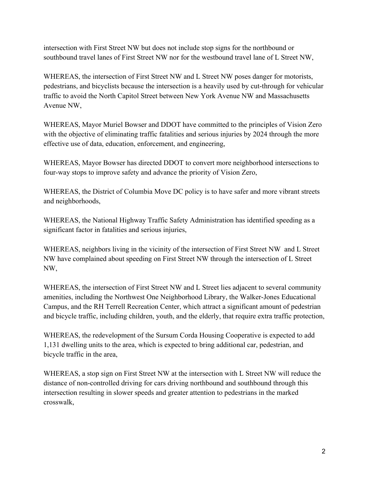intersection with First Street NW but does not include stop signs for the northbound or southbound travel lanes of First Street NW nor for the westbound travel lane of L Street NW,

WHEREAS, the intersection of First Street NW and L Street NW poses danger for motorists, pedestrians, and bicyclists because the intersection is a heavily used by cut-through for vehicular traffic to avoid the North Capitol Street between New York Avenue NW and Massachusetts Avenue NW,

WHEREAS, Mayor Muriel Bowser and DDOT have committed to the principles of Vision Zero with the objective of eliminating traffic fatalities and serious injuries by 2024 through the more effective use of data, education, enforcement, and engineering,

WHEREAS, Mayor Bowser has directed DDOT to convert more neighborhood intersections to four-way stops to improve safety and advance the priority of Vision Zero,

WHEREAS, the District of Columbia Move DC policy is to have safer and more vibrant streets and neighborhoods,

WHEREAS, the National Highway Traffic Safety Administration has identified speeding as a significant factor in fatalities and serious injuries,

WHEREAS, neighbors living in the vicinity of the intersection of First Street NW and L Street NW have complained about speeding on First Street NW through the intersection of L Street NW,

WHEREAS, the intersection of First Street NW and L Street lies adjacent to several community amenities, including the Northwest One Neighborhood Library, the Walker-Jones Educational Campus, and the RH Terrell Recreation Center, which attract a significant amount of pedestrian and bicycle traffic, including children, youth, and the elderly, that require extra traffic protection,

WHEREAS, the redevelopment of the Sursum Corda Housing Cooperative is expected to add 1,131 dwelling units to the area, which is expected to bring additional car, pedestrian, and bicycle traffic in the area,

WHEREAS, a stop sign on First Street NW at the intersection with L Street NW will reduce the distance of non-controlled driving for cars driving northbound and southbound through this intersection resulting in slower speeds and greater attention to pedestrians in the marked crosswalk,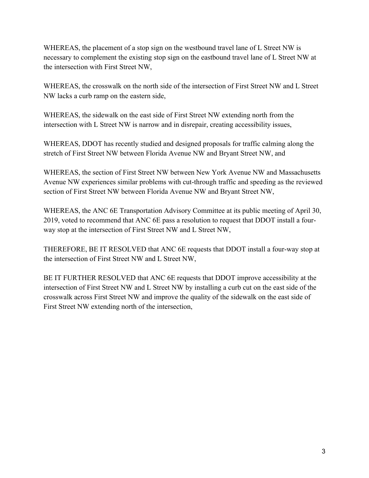WHEREAS, the placement of a stop sign on the westbound travel lane of L Street NW is necessary to complement the existing stop sign on the eastbound travel lane of L Street NW at the intersection with First Street NW,

WHEREAS, the crosswalk on the north side of the intersection of First Street NW and L Street NW lacks a curb ramp on the eastern side,

WHEREAS, the sidewalk on the east side of First Street NW extending north from the intersection with L Street NW is narrow and in disrepair, creating accessibility issues,

WHEREAS, DDOT has recently studied and designed proposals for traffic calming along the stretch of First Street NW between Florida Avenue NW and Bryant Street NW, and

WHEREAS, the section of First Street NW between New York Avenue NW and Massachusetts Avenue NW experiences similar problems with cut-through traffic and speeding as the reviewed section of First Street NW between Florida Avenue NW and Bryant Street NW,

WHEREAS, the ANC 6E Transportation Advisory Committee at its public meeting of April 30, 2019, voted to recommend that ANC 6E pass a resolution to request that DDOT install a fourway stop at the intersection of First Street NW and L Street NW,

THEREFORE, BE IT RESOLVED that ANC 6E requests that DDOT install a four-way stop at the intersection of First Street NW and L Street NW,

BE IT FURTHER RESOLVED that ANC 6E requests that DDOT improve accessibility at the intersection of First Street NW and L Street NW by installing a curb cut on the east side of the crosswalk across First Street NW and improve the quality of the sidewalk on the east side of First Street NW extending north of the intersection,